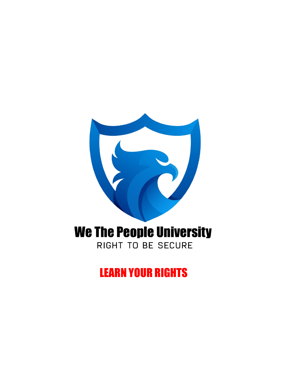# **We The People University**

RIGHT TO BE SECURE

LEARN YOUR RIGHTS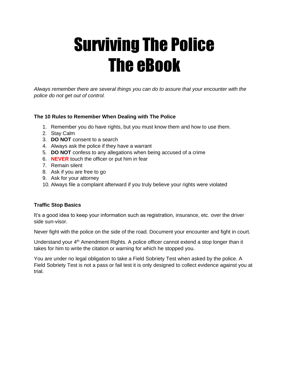# Surviving The Police The eBook

*Always remember there are several things you can do to assure that your encounter with the police do not get out of control.*

# **The 10 Rules to Remember When Dealing with The Police**

- 1. Remember you do have rights, but you must know them and how to use them.
- 2. Stay Calm
- 3. **DO NOT** consent to a search
- 4. Always ask the police if they have a warrant
- 5. **DO NOT** confess to any allegations when being accused of a crime
- 6. **NEVER** touch the officer or put him in fear
- 7. Remain silent
- 8. Ask if you are free to go
- 9. Ask for your attorney
- 10. Always file a complaint afterward if you truly believe your rights were violated

### **Traffic Stop Basics**

It's a good idea to keep your information such as registration, insurance, etc. over the driver side sun-visor.

Never fight with the police on the side of the road. Document your encounter and fight in court.

Understand your 4<sup>th</sup> Amendment Rights. A police officer cannot extend a stop longer than it takes for him to write the citation or warning for which he stopped you.

You are under no legal obligation to take a Field Sobriety Test when asked by the police. A Field Sobriety Test is not a pass or fail test it is only designed to collect evidence against you at trial.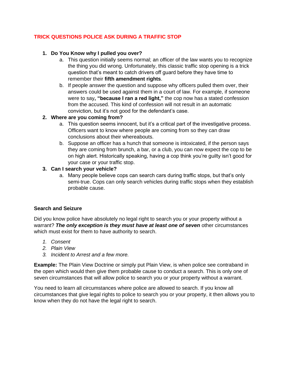# **TRICK QUESTIONS POLICE ASK DURING A TRAFFIC STOP**

# **1. Do You Know why I pulled you over?**

- a. This question initially seems normal; an officer of the law wants you to recognize the thing you did wrong. Unfortunately, this classic traffic stop opening is a trick question that's meant to catch drivers off guard before they have time to remember their **fifth amendment rights**.
- b. If people answer the question and suppose why officers pulled them over, their answers could be used against them in a court of law. For example, if someone were to say**, "because I ran a red light,"** the cop now has a stated confession from the accused. This kind of confession will not result in an automatic conviction, but it's not good for the defendant's case.

# **2. Where are you coming from?**

- a. This question seems innocent, but it's a critical part of the investigative process. Officers want to know where people are coming from so they can draw conclusions about their whereabouts.
- b. Suppose an officer has a hunch that someone is intoxicated, if the person says they are coming from brunch, a bar, or a club, you can now expect the cop to be on high alert. Historically speaking, having a cop think you're guilty isn't good for your case or your traffic stop.

# **3. Can I search your vehicle?**

a. Many people believe cops can search cars during traffic stops, but that's only semi-true. Cops can only search vehicles during traffic stops when they establish probable cause.

### **Search and Seizure**

Did you know police have absolutely no legal right to search you or your property without a warrant? The only exception is they must have at least one of seven other circumstances which must exist for them to have authority to search.

- *1. Consent*
- *2. Plain View*
- *3. Incident to Arrest and a few more.*

**Example:** The Plain View Doctrine or simply put Plain View, is when police see contraband in the open which would then give them probable cause to conduct a search. This is only one of seven circumstances that will allow police to search you or your property without a warrant.

You need to learn all circumstances where police are allowed to search. If you know all circumstances that give legal rights to police to search you or your property, it then allows you to know when they do not have the legal right to search.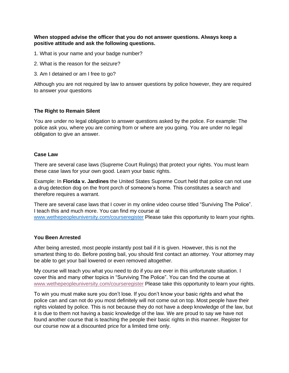### **When stopped advise the officer that you do not answer questions. Always keep a positive attitude and ask the following questions.**

- 1. What is your name and your badge number?
- 2. What is the reason for the seizure?
- 3. Am I detained or am I free to go?

Although you are not required by law to answer questions by police however, they are required to answer your questions

### **The Right to Remain Silent**

You are under no legal obligation to answer questions asked by the police. For example: The police ask you, where you are coming from or where are you going. You are under no legal obligation to give an answer.

#### **Case Law**

There are several case laws (Supreme Court Rulings) that protect your rights. You must learn these case laws for your own good. Learn your basic rights.

Example: In **Florida v. Jardines** the United States Supreme Court held that police can not use a drug detection dog on the front porch of someone's home. This constitutes a search and therefore requires a warrant.

There are several case laws that I cover in my online video course titled "Surviving The Police". I teach this and much more. You can find my course at [www.wethepeopleuniversity.com/courseregister](http://www.wethepeopleuniversity.com/courseregister) Please take this opportunity to learn your rights.

### **You Been Arrested**

After being arrested, most people instantly post bail if it is given. However, this is not the smartest thing to do. Before posting bail, you should first contact an attorney. Your attorney may be able to get your bail lowered or even removed altogether.

My course will teach you what you need to do if you are ever in this unfortunate situation. I cover this and many other topics in "Surviving The Police". You can find the course at [www.wethepeopleuniversity.com/courseregister](http://www.wethepeopleuniversity.com/courseregister) Please take this opportunity to learn your rights.

To win you must make sure you don't lose. If you don't know your basic rights and what the police can and can not do you most definitely will not come out on top. Most people have their rights violated by police. This is not because they do not have a deep knowledge of the law, but it is due to them not having a basic knowledge of the law. We are proud to say we have not found another course that is teaching the people their basic rights in this manner. Register for our course now at a discounted price for a limited time only.